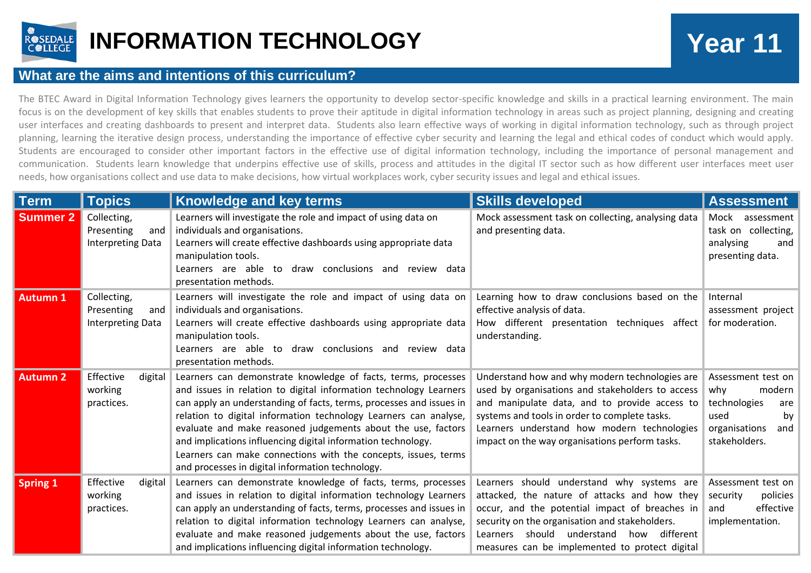

## **INFORMATION TECHNOLOGY Year 11**

## **What are the aims and intentions of this curriculum?**

The BTEC Award in Digital Information Technology gives learners the opportunity to develop sector-specific knowledge and skills in a practical learning environment. The main focus is on the development of key skills that enables students to prove their aptitude in digital information technology in areas such as project planning, designing and creating user interfaces and creating dashboards to present and interpret data. Students also learn effective ways of working in digital information technology, such as through project planning, learning the iterative design process, understanding the importance of effective cyber security and learning the legal and ethical codes of conduct which would apply. Students are encouraged to consider other important factors in the effective use of digital information technology, including the importance of personal management and communication. Students learn knowledge that underpins effective use of skills, process and attitudes in the digital IT sector such as how different user interfaces meet user needs, how organisations collect and use data to make decisions, how virtual workplaces work, cyber security issues and legal and ethical issues.

| ∣ Term          | <b>Topics</b>                                                | <b>Knowledge and key terms</b>                                                                                                                                                                                                                                                                                                                                                                                                                                                                                                      | <b>Skills developed</b>                                                                                                                                                                                                                                                                               | <b>Assessment</b>                                                                                                   |
|-----------------|--------------------------------------------------------------|-------------------------------------------------------------------------------------------------------------------------------------------------------------------------------------------------------------------------------------------------------------------------------------------------------------------------------------------------------------------------------------------------------------------------------------------------------------------------------------------------------------------------------------|-------------------------------------------------------------------------------------------------------------------------------------------------------------------------------------------------------------------------------------------------------------------------------------------------------|---------------------------------------------------------------------------------------------------------------------|
| <b>Summer 2</b> | Collecting,<br>Presenting<br>and<br>Interpreting Data        | Learners will investigate the role and impact of using data on<br>individuals and organisations.<br>Learners will create effective dashboards using appropriate data<br>manipulation tools.<br>Learners are able to draw conclusions and review data<br>presentation methods.                                                                                                                                                                                                                                                       | Mock assessment task on collecting, analysing data<br>and presenting data.                                                                                                                                                                                                                            | Mock assessment<br>task on collecting,<br>analysing<br>and<br>presenting data.                                      |
| <b>Autumn 1</b> | Collecting,<br>Presenting<br>and<br><b>Interpreting Data</b> | Learners will investigate the role and impact of using data on<br>individuals and organisations.<br>Learners will create effective dashboards using appropriate data<br>manipulation tools.<br>Learners are able to draw conclusions and review data<br>presentation methods.                                                                                                                                                                                                                                                       | Learning how to draw conclusions based on the<br>effective analysis of data.<br>How different presentation techniques affect<br>understanding.                                                                                                                                                        | Internal<br>assessment project<br>for moderation.                                                                   |
| <b>Autumn 2</b> | Effective<br>digital<br>working<br>practices.                | Learners can demonstrate knowledge of facts, terms, processes<br>and issues in relation to digital information technology Learners<br>can apply an understanding of facts, terms, processes and issues in<br>relation to digital information technology Learners can analyse,<br>evaluate and make reasoned judgements about the use, factors<br>and implications influencing digital information technology.<br>Learners can make connections with the concepts, issues, terms<br>and processes in digital information technology. | Understand how and why modern technologies are<br>used by organisations and stakeholders to access<br>and manipulate data, and to provide access to<br>systems and tools in order to complete tasks.<br>Learners understand how modern technologies<br>impact on the way organisations perform tasks. | Assessment test on<br>why<br>modern  <br>technologies<br>are<br>used<br>by<br>organisations<br>and<br>stakeholders. |
| <b>Spring 1</b> | Effective<br>digital<br>working<br>practices.                | Learners can demonstrate knowledge of facts, terms, processes<br>and issues in relation to digital information technology Learners<br>can apply an understanding of facts, terms, processes and issues in<br>relation to digital information technology Learners can analyse,<br>evaluate and make reasoned judgements about the use, factors<br>and implications influencing digital information technology.                                                                                                                       | Learners should understand why systems are<br>attacked, the nature of attacks and how they<br>occur, and the potential impact of breaches in<br>security on the organisation and stakeholders.<br>different<br>should understand<br>how<br>Learners<br>measures can be implemented to protect digital | Assessment test on<br>security<br>policies<br>effective<br>and<br>implementation.                                   |